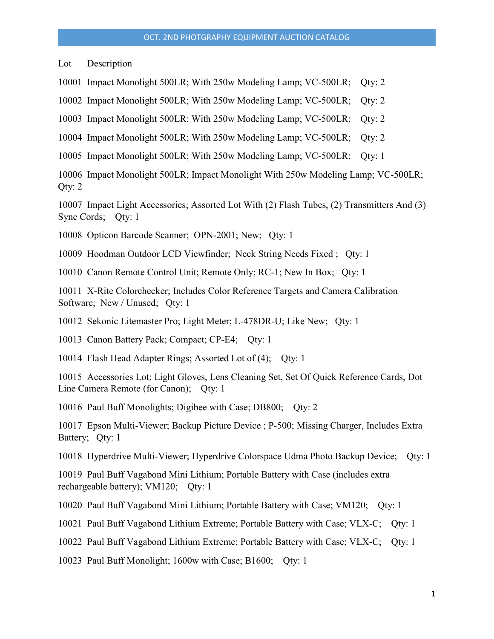Lot Description

10001 Impact Monolight 500LR; With 250w Modeling Lamp; VC-500LR; Qty: 2

10002 Impact Monolight 500LR; With 250w Modeling Lamp; VC-500LR; Qty: 2

10003 Impact Monolight 500LR; With 250w Modeling Lamp; VC-500LR; Qty: 2

10004 Impact Monolight 500LR; With 250w Modeling Lamp; VC-500LR; Qty: 2

10005 Impact Monolight 500LR; With 250w Modeling Lamp; VC-500LR; Qty: 1

10006 Impact Monolight 500LR; Impact Monolight With 250w Modeling Lamp; VC-500LR; Qty: 2

10007 Impact Light Accessories; Assorted Lot With (2) Flash Tubes, (2) Transmitters And (3) Sync Cords; Qty: 1

10008 Opticon Barcode Scanner; OPN-2001; New; Qty: 1

10009 Hoodman Outdoor LCD Viewfinder; Neck String Needs Fixed ; Qty: 1

10010 Canon Remote Control Unit; Remote Only; RC-1; New In Box; Qty: 1

10011 X-Rite Colorchecker; Includes Color Reference Targets and Camera Calibration Software; New / Unused; Qty: 1

10012 Sekonic Litemaster Pro; Light Meter; L-478DR-U; Like New; Qty: 1

10013 Canon Battery Pack; Compact; CP-E4; Qty: 1

10014 Flash Head Adapter Rings; Assorted Lot of (4); Qty: 1

10015 Accessories Lot; Light Gloves, Lens Cleaning Set, Set Of Quick Reference Cards, Dot Line Camera Remote (for Canon); Qty: 1

10016 Paul Buff Monolights; Digibee with Case; DB800; Qty: 2

10017 Epson Multi-Viewer; Backup Picture Device ; P-500; Missing Charger, Includes Extra Battery; Qty: 1

10018 Hyperdrive Multi-Viewer; Hyperdrive Colorspace Udma Photo Backup Device; Qty: 1

10019 Paul Buff Vagabond Mini Lithium; Portable Battery with Case (includes extra rechargeable battery); VM120; Qty: 1

10020 Paul Buff Vagabond Mini Lithium; Portable Battery with Case; VM120; Qty: 1

10021 Paul Buff Vagabond Lithium Extreme; Portable Battery with Case; VLX-C; Qty: 1

10022 Paul Buff Vagabond Lithium Extreme; Portable Battery with Case; VLX-C; Qty: 1

10023 Paul Buff Monolight; 1600w with Case; B1600; Qty: 1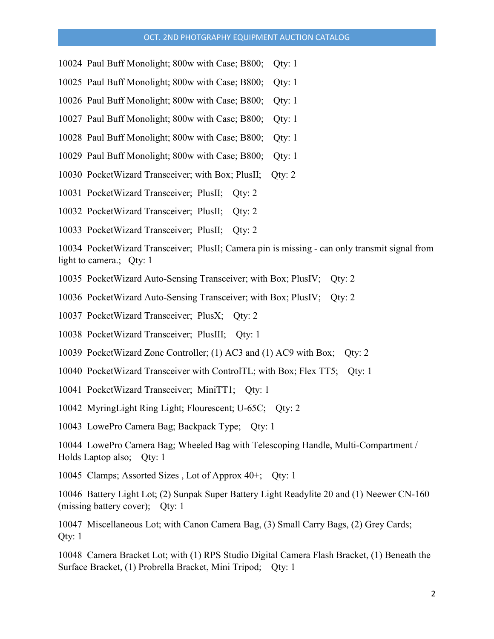- 10024 Paul Buff Monolight; 800w with Case; B800; Qty: 1
- 10025 Paul Buff Monolight; 800w with Case; B800; Qty: 1
- 10026 Paul Buff Monolight; 800w with Case; B800; Qty: 1
- 10027 Paul Buff Monolight; 800w with Case; B800; Qty: 1
- 10028 Paul Buff Monolight; 800w with Case; B800; Qty: 1
- 10029 Paul Buff Monolight; 800w with Case; B800; Qty: 1
- 10030 PocketWizard Transceiver; with Box; PlusII; Qty: 2
- 10031 PocketWizard Transceiver; PlusII; Qty: 2
- 10032 PocketWizard Transceiver; PlusII; Qty: 2
- 10033 PocketWizard Transceiver; PlusII; Qty: 2

10034 PocketWizard Transceiver; PlusII; Camera pin is missing - can only transmit signal from light to camera.; Qty: 1

- 10035 PocketWizard Auto-Sensing Transceiver; with Box; PlusIV; Qty: 2
- 10036 PocketWizard Auto-Sensing Transceiver; with Box; PlusIV; Qty: 2
- 10037 PocketWizard Transceiver; PlusX; Qty: 2
- 10038 PocketWizard Transceiver; PlusIII; Qty: 1
- 10039 PocketWizard Zone Controller; (1) AC3 and (1) AC9 with Box; Qty: 2
- 10040 PocketWizard Transceiver with ControlTL; with Box; Flex TT5; Qty: 1
- 10041 PocketWizard Transceiver; MiniTT1; Qty: 1
- 10042 MyringLight Ring Light; Flourescent; U-65C; Qty: 2

10043 LowePro Camera Bag; Backpack Type; Qty: 1

10044 LowePro Camera Bag; Wheeled Bag with Telescoping Handle, Multi-Compartment / Holds Laptop also; Qty: 1

10045 Clamps; Assorted Sizes , Lot of Approx 40+; Qty: 1

10046 Battery Light Lot; (2) Sunpak Super Battery Light Readylite 20 and (1) Neewer CN-160 (missing battery cover); Qty: 1

10047 Miscellaneous Lot; with Canon Camera Bag, (3) Small Carry Bags, (2) Grey Cards; Qty: 1

10048 Camera Bracket Lot; with (1) RPS Studio Digital Camera Flash Bracket, (1) Beneath the Surface Bracket, (1) Probrella Bracket, Mini Tripod; Qty: 1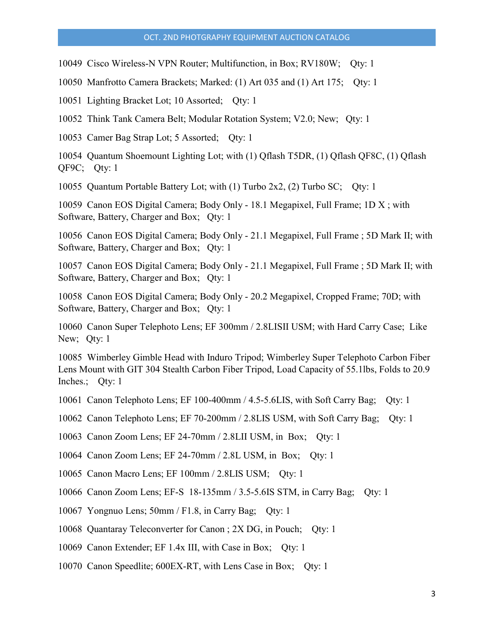10049 Cisco Wireless-N VPN Router; Multifunction, in Box; RV180W; Qty: 1

10050 Manfrotto Camera Brackets; Marked: (1) Art 035 and (1) Art 175; Qty: 1

10051 Lighting Bracket Lot; 10 Assorted; Qty: 1

10052 Think Tank Camera Belt; Modular Rotation System; V2.0; New; Qty: 1

10053 Camer Bag Strap Lot; 5 Assorted; Qty: 1

10054 Quantum Shoemount Lighting Lot; with (1) Qflash T5DR, (1) Qflash QF8C, (1) Qflash QF9C; Qty: 1

10055 Quantum Portable Battery Lot; with (1) Turbo 2x2, (2) Turbo SC; Qty: 1

10059 Canon EOS Digital Camera; Body Only - 18.1 Megapixel, Full Frame; 1D X ; with Software, Battery, Charger and Box; Qty: 1

10056 Canon EOS Digital Camera; Body Only - 21.1 Megapixel, Full Frame ; 5D Mark II; with Software, Battery, Charger and Box; Qty: 1

10057 Canon EOS Digital Camera; Body Only - 21.1 Megapixel, Full Frame ; 5D Mark II; with Software, Battery, Charger and Box; Qty: 1

10058 Canon EOS Digital Camera; Body Only - 20.2 Megapixel, Cropped Frame; 70D; with Software, Battery, Charger and Box; Qty: 1

10060 Canon Super Telephoto Lens; EF 300mm / 2.8LISII USM; with Hard Carry Case; Like New; Qty: 1

10085 Wimberley Gimble Head with Induro Tripod; Wimberley Super Telephoto Carbon Fiber Lens Mount with GIT 304 Stealth Carbon Fiber Tripod, Load Capacity of 55.1lbs, Folds to 20.9 Inches.; Qty: 1

10061 Canon Telephoto Lens; EF 100-400mm / 4.5-5.6LIS, with Soft Carry Bag; Qty: 1

10062 Canon Telephoto Lens; EF 70-200mm / 2.8LIS USM, with Soft Carry Bag; Qty: 1

10063 Canon Zoom Lens; EF 24-70mm / 2.8LII USM, in Box; Qty: 1

10064 Canon Zoom Lens; EF 24-70mm / 2.8L USM, in Box; Qty: 1

10065 Canon Macro Lens; EF 100mm / 2.8LIS USM; Qty: 1

10066 Canon Zoom Lens; EF-S 18-135mm / 3.5-5.6IS STM, in Carry Bag; Qty: 1

10067 Yongnuo Lens; 50mm / F1.8, in Carry Bag; Qty: 1

10068 Quantaray Teleconverter for Canon ; 2X DG, in Pouch; Qty: 1

10069 Canon Extender; EF 1.4x III, with Case in Box; Qty: 1

10070 Canon Speedlite; 600EX-RT, with Lens Case in Box; Qty: 1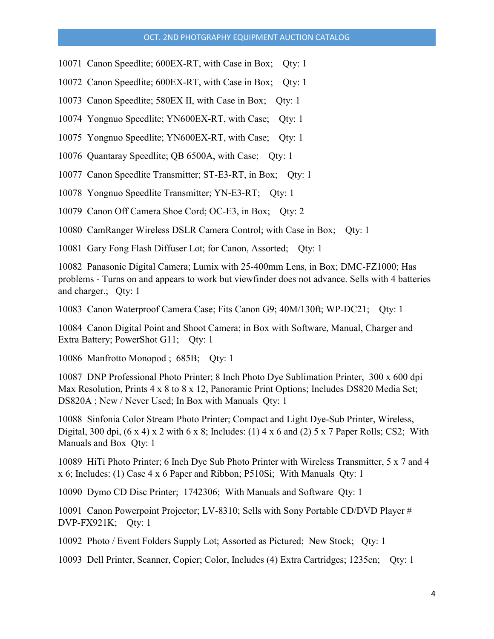- 10071 Canon Speedlite; 600EX-RT, with Case in Box; Oty: 1
- 10072 Canon Speedlite; 600EX-RT, with Case in Box; Qty: 1
- 10073 Canon Speedlite; 580EX II, with Case in Box; Qty: 1
- 10074 Yongnuo Speedlite; YN600EX-RT, with Case; Qty: 1
- 10075 Yongnuo Speedlite; YN600EX-RT, with Case; Qty: 1
- 10076 Quantaray Speedlite; QB 6500A, with Case; Qty: 1
- 10077 Canon Speedlite Transmitter; ST-E3-RT, in Box; Qty: 1
- 10078 Yongnuo Speedlite Transmitter; YN-E3-RT; Qty: 1
- 10079 Canon Off Camera Shoe Cord; OC-E3, in Box; Qty: 2

10080 CamRanger Wireless DSLR Camera Control; with Case in Box; Qty: 1

10081 Gary Fong Flash Diffuser Lot; for Canon, Assorted; Qty: 1

10082 Panasonic Digital Camera; Lumix with 25-400mm Lens, in Box; DMC-FZ1000; Has problems - Turns on and appears to work but viewfinder does not advance. Sells with 4 batteries and charger.; Qty: 1

10083 Canon Waterproof Camera Case; Fits Canon G9; 40M/130ft; WP-DC21; Qty: 1

10084 Canon Digital Point and Shoot Camera; in Box with Software, Manual, Charger and Extra Battery; PowerShot G11; Qty: 1

10086 Manfrotto Monopod ; 685B; Qty: 1

10087 DNP Professional Photo Printer; 8 Inch Photo Dye Sublimation Printer, 300 x 600 dpi Max Resolution, Prints 4 x 8 to 8 x 12, Panoramic Print Options; Includes DS820 Media Set; DS820A ; New / Never Used; In Box with Manuals Qty: 1

10088 Sinfonia Color Stream Photo Printer; Compact and Light Dye-Sub Printer, Wireless, Digital, 300 dpi,  $(6 \times 4) \times 2$  with  $6 \times 8$ ; Includes:  $(1) 4 \times 6$  and  $(2) 5 \times 7$  Paper Rolls; CS2; With Manuals and Box Qty: 1

10089 HiTi Photo Printer; 6 Inch Dye Sub Photo Printer with Wireless Transmitter, 5 x 7 and 4 x 6; Includes: (1) Case 4 x 6 Paper and Ribbon; P510Si; With Manuals Qty: 1

10090 Dymo CD Disc Printer; 1742306; With Manuals and Software Qty: 1

10091 Canon Powerpoint Projector; LV-8310; Sells with Sony Portable CD/DVD Player # DVP-FX921K; Qty: 1

10092 Photo / Event Folders Supply Lot; Assorted as Pictured; New Stock; Qty: 1

10093 Dell Printer, Scanner, Copier; Color, Includes (4) Extra Cartridges; 1235cn; Qty: 1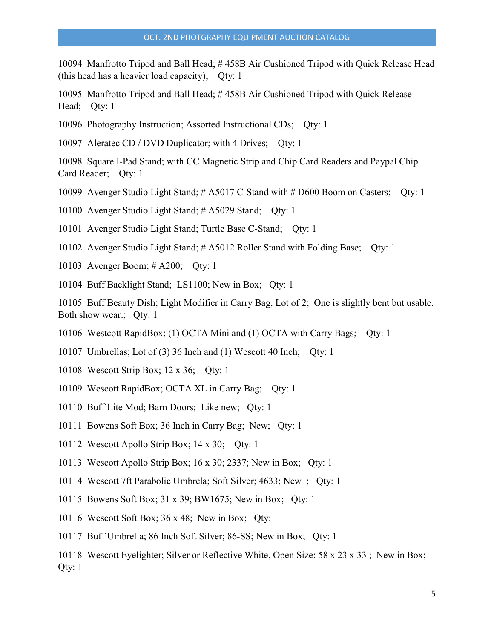10094 Manfrotto Tripod and Ball Head; # 458B Air Cushioned Tripod with Quick Release Head (this head has a heavier load capacity); Qty: 1

10095 Manfrotto Tripod and Ball Head; # 458B Air Cushioned Tripod with Quick Release Head; Qty: 1

10096 Photography Instruction; Assorted Instructional CDs; Qty: 1

10097 Aleratec CD / DVD Duplicator; with 4 Drives; Qty: 1

10098 Square I-Pad Stand; with CC Magnetic Strip and Chip Card Readers and Paypal Chip Card Reader; Qty: 1

10099 Avenger Studio Light Stand; # A5017 C-Stand with # D600 Boom on Casters; Qty: 1

10100 Avenger Studio Light Stand; # A5029 Stand; Qty: 1

10101 Avenger Studio Light Stand; Turtle Base C-Stand; Qty: 1

10102 Avenger Studio Light Stand; # A5012 Roller Stand with Folding Base; Qty: 1

10103 Avenger Boom; # A200; Qty: 1

10104 Buff Backlight Stand; LS1100; New in Box; Qty: 1

10105 Buff Beauty Dish; Light Modifier in Carry Bag, Lot of 2; One is slightly bent but usable. Both show wear.; Qty: 1

10106 Westcott RapidBox; (1) OCTA Mini and (1) OCTA with Carry Bags; Qty: 1

10107 Umbrellas; Lot of (3) 36 Inch and (1) Wescott 40 Inch; Qty: 1

- 10108 Wescott Strip Box; 12 x 36; Qty: 1
- 10109 Wescott RapidBox; OCTA XL in Carry Bag; Qty: 1
- 10110 Buff Lite Mod; Barn Doors; Like new; Qty: 1
- 10111 Bowens Soft Box; 36 Inch in Carry Bag; New; Qty: 1
- 10112 Wescott Apollo Strip Box; 14 x 30; Qty: 1
- 10113 Wescott Apollo Strip Box; 16 x 30; 2337; New in Box; Qty: 1
- 10114 Wescott 7ft Parabolic Umbrela; Soft Silver; 4633; New ; Qty: 1
- 10115 Bowens Soft Box; 31 x 39; BW1675; New in Box; Qty: 1
- 10116 Wescott Soft Box; 36 x 48; New in Box; Qty: 1
- 10117 Buff Umbrella; 86 Inch Soft Silver; 86-SS; New in Box; Qty: 1

10118 Wescott Eyelighter; Silver or Reflective White, Open Size: 58 x 23 x 33 ; New in Box; Qty: 1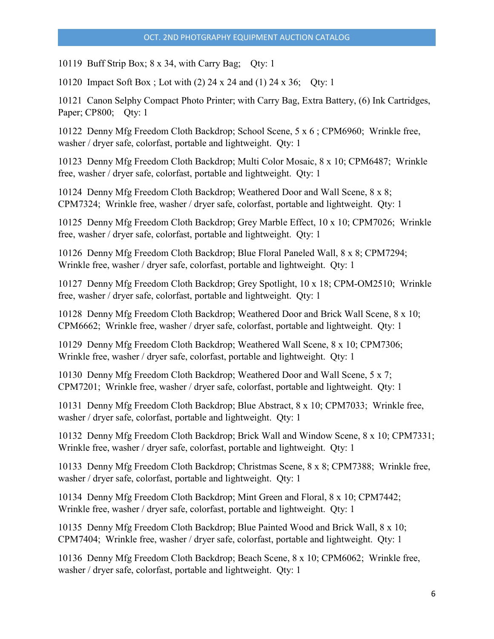10119 Buff Strip Box; 8 x 34, with Carry Bag; Qty: 1

10120 Impact Soft Box ; Lot with (2) 24 x 24 and (1) 24 x 36; Qty: 1

10121 Canon Selphy Compact Photo Printer; with Carry Bag, Extra Battery, (6) Ink Cartridges, Paper; CP800; Oty: 1

10122 Denny Mfg Freedom Cloth Backdrop; School Scene, 5 x 6 ; CPM6960; Wrinkle free, washer / dryer safe, colorfast, portable and lightweight. Qty: 1

10123 Denny Mfg Freedom Cloth Backdrop; Multi Color Mosaic, 8 x 10; CPM6487; Wrinkle free, washer / dryer safe, colorfast, portable and lightweight. Qty: 1

10124 Denny Mfg Freedom Cloth Backdrop; Weathered Door and Wall Scene, 8 x 8; CPM7324; Wrinkle free, washer / dryer safe, colorfast, portable and lightweight. Qty: 1

10125 Denny Mfg Freedom Cloth Backdrop; Grey Marble Effect, 10 x 10; CPM7026; Wrinkle free, washer / dryer safe, colorfast, portable and lightweight. Qty: 1

10126 Denny Mfg Freedom Cloth Backdrop; Blue Floral Paneled Wall, 8 x 8; CPM7294; Wrinkle free, washer / dryer safe, colorfast, portable and lightweight. Qty: 1

10127 Denny Mfg Freedom Cloth Backdrop; Grey Spotlight, 10 x 18; CPM-OM2510; Wrinkle free, washer / dryer safe, colorfast, portable and lightweight. Qty: 1

10128 Denny Mfg Freedom Cloth Backdrop; Weathered Door and Brick Wall Scene, 8 x 10; CPM6662; Wrinkle free, washer / dryer safe, colorfast, portable and lightweight. Qty: 1

10129 Denny Mfg Freedom Cloth Backdrop; Weathered Wall Scene, 8 x 10; CPM7306; Wrinkle free, washer / dryer safe, colorfast, portable and lightweight. Qty: 1

10130 Denny Mfg Freedom Cloth Backdrop; Weathered Door and Wall Scene, 5 x 7; CPM7201; Wrinkle free, washer / dryer safe, colorfast, portable and lightweight. Qty: 1

10131 Denny Mfg Freedom Cloth Backdrop; Blue Abstract, 8 x 10; CPM7033; Wrinkle free, washer / dryer safe, colorfast, portable and lightweight. Qty: 1

10132 Denny Mfg Freedom Cloth Backdrop; Brick Wall and Window Scene, 8 x 10; CPM7331; Wrinkle free, washer / dryer safe, colorfast, portable and lightweight. Qty: 1

10133 Denny Mfg Freedom Cloth Backdrop; Christmas Scene, 8 x 8; CPM7388; Wrinkle free, washer / dryer safe, colorfast, portable and lightweight. Qty: 1

10134 Denny Mfg Freedom Cloth Backdrop; Mint Green and Floral, 8 x 10; CPM7442; Wrinkle free, washer / dryer safe, colorfast, portable and lightweight. Qty: 1

10135 Denny Mfg Freedom Cloth Backdrop; Blue Painted Wood and Brick Wall, 8 x 10; CPM7404; Wrinkle free, washer / dryer safe, colorfast, portable and lightweight. Qty: 1

10136 Denny Mfg Freedom Cloth Backdrop; Beach Scene, 8 x 10; CPM6062; Wrinkle free, washer / dryer safe, colorfast, portable and lightweight. Qty: 1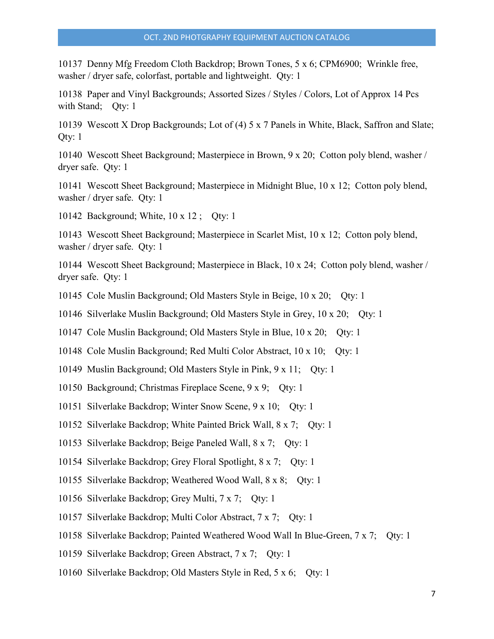10137 Denny Mfg Freedom Cloth Backdrop; Brown Tones, 5 x 6; CPM6900; Wrinkle free, washer / dryer safe, colorfast, portable and lightweight. Qty: 1

10138 Paper and Vinyl Backgrounds; Assorted Sizes / Styles / Colors, Lot of Approx 14 Pcs with Stand; Qty: 1

10139 Wescott X Drop Backgrounds; Lot of (4) 5 x 7 Panels in White, Black, Saffron and Slate; Qty: 1

10140 Wescott Sheet Background; Masterpiece in Brown, 9 x 20; Cotton poly blend, washer / dryer safe. Qty: 1

10141 Wescott Sheet Background; Masterpiece in Midnight Blue, 10 x 12; Cotton poly blend, washer / dryer safe. Qty: 1

10142 Background; White, 10 x 12 ; Qty: 1

10143 Wescott Sheet Background; Masterpiece in Scarlet Mist, 10 x 12; Cotton poly blend, washer / dryer safe. Qty: 1

10144 Wescott Sheet Background; Masterpiece in Black, 10 x 24; Cotton poly blend, washer / dryer safe. Qty: 1

10145 Cole Muslin Background; Old Masters Style in Beige, 10 x 20; Qty: 1

10146 Silverlake Muslin Background; Old Masters Style in Grey, 10 x 20; Qty: 1

10147 Cole Muslin Background; Old Masters Style in Blue, 10 x 20; Qty: 1

10148 Cole Muslin Background; Red Multi Color Abstract, 10 x 10; Qty: 1

10149 Muslin Background; Old Masters Style in Pink, 9 x 11; Qty: 1

- 10150 Background; Christmas Fireplace Scene, 9 x 9; Qty: 1
- 10151 Silverlake Backdrop; Winter Snow Scene, 9 x 10; Qty: 1

10152 Silverlake Backdrop; White Painted Brick Wall, 8 x 7; Qty: 1

10153 Silverlake Backdrop; Beige Paneled Wall, 8 x 7; Qty: 1

10154 Silverlake Backdrop; Grey Floral Spotlight, 8 x 7; Qty: 1

10155 Silverlake Backdrop; Weathered Wood Wall, 8 x 8; Qty: 1

10156 Silverlake Backdrop; Grey Multi, 7 x 7; Qty: 1

10157 Silverlake Backdrop; Multi Color Abstract, 7 x 7; Qty: 1

10158 Silverlake Backdrop; Painted Weathered Wood Wall In Blue-Green, 7 x 7; Qty: 1

10159 Silverlake Backdrop; Green Abstract, 7 x 7; Qty: 1

10160 Silverlake Backdrop; Old Masters Style in Red, 5 x 6; Qty: 1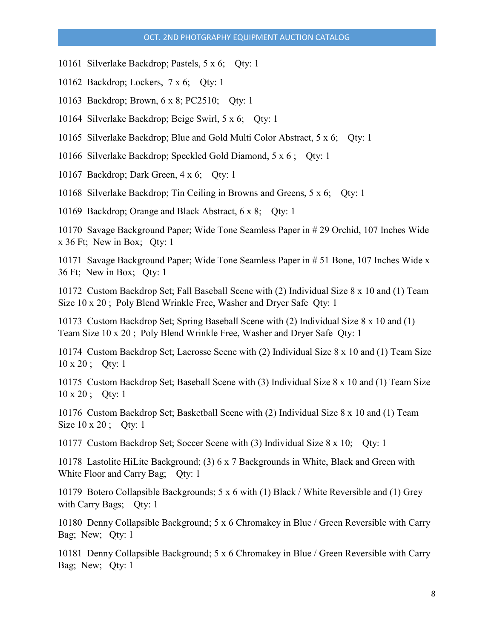- 10161 Silverlake Backdrop; Pastels, 5 x 6; Qty: 1
- 10162 Backdrop; Lockers, 7 x 6; Qty: 1
- 10163 Backdrop; Brown, 6 x 8; PC2510; Qty: 1
- 10164 Silverlake Backdrop; Beige Swirl, 5 x 6; Qty: 1
- 10165 Silverlake Backdrop; Blue and Gold Multi Color Abstract, 5 x 6; Qty: 1
- 10166 Silverlake Backdrop; Speckled Gold Diamond, 5 x 6 ; Qty: 1
- 10167 Backdrop; Dark Green, 4 x 6; Qty: 1
- 10168 Silverlake Backdrop; Tin Ceiling in Browns and Greens, 5 x 6; Qty: 1

10169 Backdrop; Orange and Black Abstract, 6 x 8; Qty: 1

10170 Savage Background Paper; Wide Tone Seamless Paper in # 29 Orchid, 107 Inches Wide x 36 Ft; New in Box; Qty: 1

10171 Savage Background Paper; Wide Tone Seamless Paper in # 51 Bone, 107 Inches Wide x 36 Ft; New in Box; Qty: 1

10172 Custom Backdrop Set; Fall Baseball Scene with (2) Individual Size 8 x 10 and (1) Team Size 10 x 20 ; Poly Blend Wrinkle Free, Washer and Dryer Safe Qty: 1

10173 Custom Backdrop Set; Spring Baseball Scene with (2) Individual Size 8 x 10 and (1) Team Size 10 x 20 ; Poly Blend Wrinkle Free, Washer and Dryer Safe Qty: 1

10174 Custom Backdrop Set; Lacrosse Scene with (2) Individual Size 8 x 10 and (1) Team Size 10 x 20 ; Qty: 1

10175 Custom Backdrop Set; Baseball Scene with (3) Individual Size 8 x 10 and (1) Team Size 10 x 20 ; Qty: 1

10176 Custom Backdrop Set; Basketball Scene with (2) Individual Size 8 x 10 and (1) Team Size 10 x 20; Qty: 1

10177 Custom Backdrop Set; Soccer Scene with (3) Individual Size 8 x 10; Qty: 1

10178 Lastolite HiLite Background; (3) 6 x 7 Backgrounds in White, Black and Green with White Floor and Carry Bag; Qty: 1

10179 Botero Collapsible Backgrounds; 5 x 6 with (1) Black / White Reversible and (1) Grey with Carry Bags; Qty: 1

10180 Denny Collapsible Background; 5 x 6 Chromakey in Blue / Green Reversible with Carry Bag; New; Qty: 1

10181 Denny Collapsible Background; 5 x 6 Chromakey in Blue / Green Reversible with Carry Bag; New; Qty: 1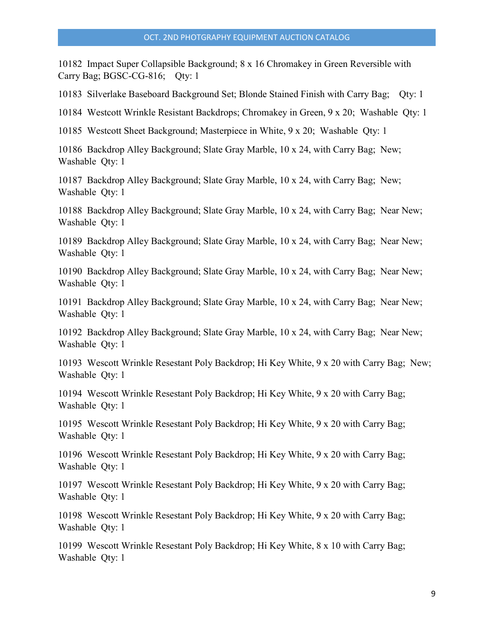10182 Impact Super Collapsible Background; 8 x 16 Chromakey in Green Reversible with Carry Bag; BGSC-CG-816; Qty: 1

10183 Silverlake Baseboard Background Set; Blonde Stained Finish with Carry Bag; Qty: 1

10184 Westcott Wrinkle Resistant Backdrops; Chromakey in Green, 9 x 20; Washable Qty: 1

10185 Westcott Sheet Background; Masterpiece in White, 9 x 20; Washable Qty: 1

10186 Backdrop Alley Background; Slate Gray Marble, 10 x 24, with Carry Bag; New; Washable Qty: 1

10187 Backdrop Alley Background; Slate Gray Marble, 10 x 24, with Carry Bag; New; Washable Qty: 1

10188 Backdrop Alley Background; Slate Gray Marble, 10 x 24, with Carry Bag; Near New; Washable Qty: 1

10189 Backdrop Alley Background; Slate Gray Marble, 10 x 24, with Carry Bag; Near New; Washable Qty: 1

10190 Backdrop Alley Background; Slate Gray Marble, 10 x 24, with Carry Bag; Near New; Washable Qty: 1

10191 Backdrop Alley Background; Slate Gray Marble, 10 x 24, with Carry Bag; Near New; Washable Qty: 1

10192 Backdrop Alley Background; Slate Gray Marble, 10 x 24, with Carry Bag; Near New; Washable Qty: 1

10193 Wescott Wrinkle Resestant Poly Backdrop; Hi Key White, 9 x 20 with Carry Bag; New; Washable Qty: 1

10194 Wescott Wrinkle Resestant Poly Backdrop; Hi Key White, 9 x 20 with Carry Bag; Washable Qty: 1

10195 Wescott Wrinkle Resestant Poly Backdrop; Hi Key White, 9 x 20 with Carry Bag; Washable Qty: 1

10196 Wescott Wrinkle Resestant Poly Backdrop; Hi Key White, 9 x 20 with Carry Bag; Washable Qty: 1

10197 Wescott Wrinkle Resestant Poly Backdrop; Hi Key White, 9 x 20 with Carry Bag; Washable Qty: 1

10198 Wescott Wrinkle Resestant Poly Backdrop; Hi Key White, 9 x 20 with Carry Bag; Washable Qty: 1

10199 Wescott Wrinkle Resestant Poly Backdrop; Hi Key White, 8 x 10 with Carry Bag; Washable Qty: 1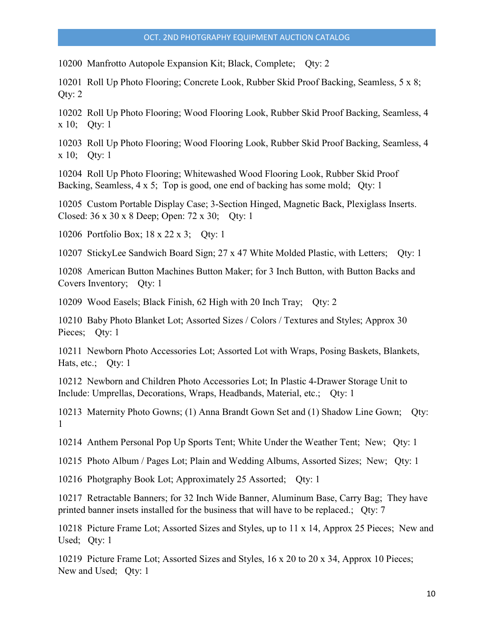10200 Manfrotto Autopole Expansion Kit; Black, Complete; Qty: 2

10201 Roll Up Photo Flooring; Concrete Look, Rubber Skid Proof Backing, Seamless, 5 x 8; Qty: 2

10202 Roll Up Photo Flooring; Wood Flooring Look, Rubber Skid Proof Backing, Seamless, 4 x 10; Qty: 1

10203 Roll Up Photo Flooring; Wood Flooring Look, Rubber Skid Proof Backing, Seamless, 4 x 10; Qty: 1

10204 Roll Up Photo Flooring; Whitewashed Wood Flooring Look, Rubber Skid Proof Backing, Seamless, 4 x 5; Top is good, one end of backing has some mold; Qty: 1

10205 Custom Portable Display Case; 3-Section Hinged, Magnetic Back, Plexiglass Inserts. Closed: 36 x 30 x 8 Deep; Open: 72 x 30; Qty: 1

10206 Portfolio Box; 18 x 22 x 3; Qty: 1

10207 StickyLee Sandwich Board Sign; 27 x 47 White Molded Plastic, with Letters; Qty: 1

10208 American Button Machines Button Maker; for 3 Inch Button, with Button Backs and Covers Inventory; Qty: 1

10209 Wood Easels; Black Finish, 62 High with 20 Inch Tray; Qty: 2

10210 Baby Photo Blanket Lot; Assorted Sizes / Colors / Textures and Styles; Approx 30 Pieces; Qty: 1

10211 Newborn Photo Accessories Lot; Assorted Lot with Wraps, Posing Baskets, Blankets, Hats, etc.; Qty: 1

10212 Newborn and Children Photo Accessories Lot; In Plastic 4-Drawer Storage Unit to Include: Umprellas, Decorations, Wraps, Headbands, Material, etc.; Qty: 1

10213 Maternity Photo Gowns; (1) Anna Brandt Gown Set and (1) Shadow Line Gown; Qty: 1

10214 Anthem Personal Pop Up Sports Tent; White Under the Weather Tent; New; Qty: 1

10215 Photo Album / Pages Lot; Plain and Wedding Albums, Assorted Sizes; New; Qty: 1

10216 Photgraphy Book Lot; Approximately 25 Assorted; Qty: 1

10217 Retractable Banners; for 32 Inch Wide Banner, Aluminum Base, Carry Bag; They have printed banner insets installed for the business that will have to be replaced.; Qty: 7

10218 Picture Frame Lot; Assorted Sizes and Styles, up to 11 x 14, Approx 25 Pieces; New and Used; Qty: 1

10219 Picture Frame Lot; Assorted Sizes and Styles, 16 x 20 to 20 x 34, Approx 10 Pieces; New and Used; Qty: 1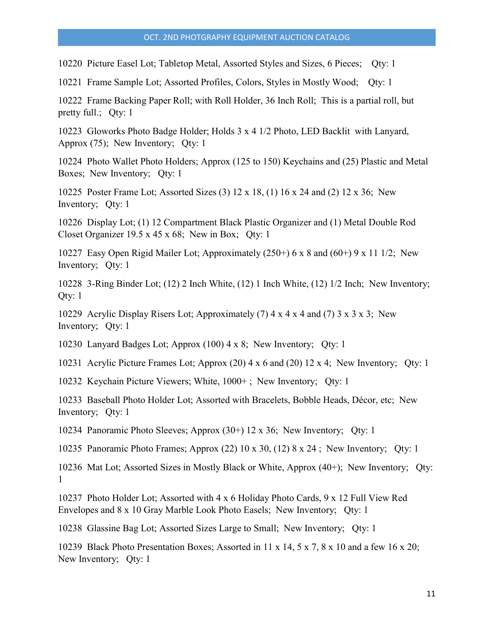10220 Picture Easel Lot; Tabletop Metal, Assorted Styles and Sizes, 6 Pieces; Qty: 1

10221 Frame Sample Lot; Assorted Profiles, Colors, Styles in Mostly Wood; Qty: 1

10222 Frame Backing Paper Roll; with Roll Holder, 36 Inch Roll; This is a partial roll, but pretty full.; Qty: 1

10223 Gloworks Photo Badge Holder; Holds 3 x 4 1/2 Photo, LED Backlit with Lanyard, Approx (75); New Inventory; Qty: 1

10224 Photo Wallet Photo Holders; Approx (125 to 150) Keychains and (25) Plastic and Metal Boxes; New Inventory; Qty: 1

10225 Poster Frame Lot; Assorted Sizes (3) 12 x 18, (1) 16 x 24 and (2) 12 x 36; New Inventory; Qty: 1

10226 Display Lot; (1) 12 Compartment Black Plastic Organizer and (1) Metal Double Rod Closet Organizer 19.5 x 45 x 68; New in Box; Qty: 1

10227 Easy Open Rigid Mailer Lot; Approximately (250+) 6 x 8 and (60+) 9 x 11 1/2; New Inventory; Qty: 1

10228 3-Ring Binder Lot; (12) 2 Inch White, (12) 1 Inch White, (12) 1/2 Inch; New Inventory; Qty: 1

10229 Acrylic Display Risers Lot; Approximately (7) 4 x 4 x 4 and (7) 3 x 3 x 3; New Inventory; Qty: 1

10230 Lanyard Badges Lot; Approx (100) 4 x 8; New Inventory; Qty: 1

10231 Acrylic Picture Frames Lot; Approx (20) 4 x 6 and (20) 12 x 4; New Inventory; Qty: 1

10232 Keychain Picture Viewers; White, 1000+ ; New Inventory; Qty: 1

10233 Baseball Photo Holder Lot; Assorted with Bracelets, Bobble Heads, Décor, etc; New Inventory; Qty: 1

10234 Panoramic Photo Sleeves; Approx (30+) 12 x 36; New Inventory; Qty: 1

10235 Panoramic Photo Frames; Approx (22) 10 x 30, (12) 8 x 24 ; New Inventory; Qty: 1

10236 Mat Lot; Assorted Sizes in Mostly Black or White, Approx (40+); New Inventory; Qty: 1

10237 Photo Holder Lot; Assorted with 4 x 6 Holiday Photo Cards, 9 x 12 Full View Red Envelopes and 8 x 10 Gray Marble Look Photo Easels; New Inventory; Qty: 1

10238 Glassine Bag Lot; Assorted Sizes Large to Small; New Inventory; Qty: 1

10239 Black Photo Presentation Boxes; Assorted in 11 x 14, 5 x 7, 8 x 10 and a few 16 x 20; New Inventory; Qty: 1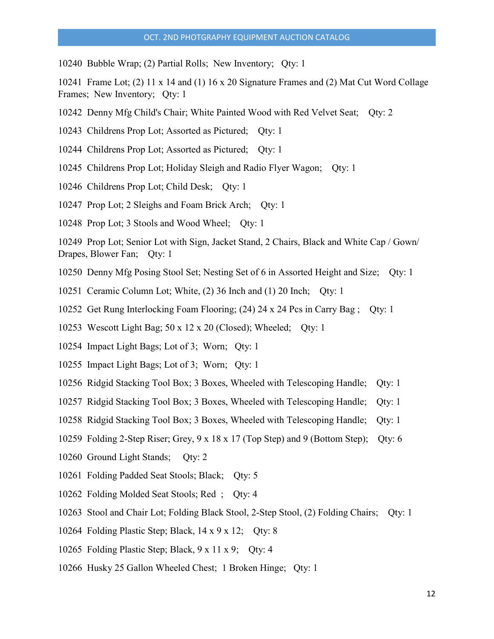10240 Bubble Wrap; (2) Partial Rolls; New Inventory; Qty: 1

10241 Frame Lot; (2) 11 x 14 and (1) 16 x 20 Signature Frames and (2) Mat Cut Word Collage Frames; New Inventory; Qty: 1

- 10242 Denny Mfg Child's Chair; White Painted Wood with Red Velvet Seat; Qty: 2
- 10243 Childrens Prop Lot; Assorted as Pictured; Qty: 1
- 10244 Childrens Prop Lot; Assorted as Pictured; Qty: 1
- 10245 Childrens Prop Lot; Holiday Sleigh and Radio Flyer Wagon; Qty: 1
- 10246 Childrens Prop Lot; Child Desk; Qty: 1
- 10247 Prop Lot; 2 Sleighs and Foam Brick Arch; Qty: 1
- 10248 Prop Lot; 3 Stools and Wood Wheel; Qty: 1
- 10249 Prop Lot; Senior Lot with Sign, Jacket Stand, 2 Chairs, Black and White Cap / Gown/ Drapes, Blower Fan; Qty: 1
- 10250 Denny Mfg Posing Stool Set; Nesting Set of 6 in Assorted Height and Size; Qty: 1
- 10251 Ceramic Column Lot; White, (2) 36 Inch and (1) 20 Inch; Qty: 1
- 10252 Get Rung Interlocking Foam Flooring; (24) 24 x 24 Pcs in Carry Bag ; Qty: 1
- 10253 Wescott Light Bag; 50 x 12 x 20 (Closed); Wheeled; Qty: 1
- 10254 Impact Light Bags; Lot of 3; Worn; Qty: 1
- 10255 Impact Light Bags; Lot of 3; Worn; Qty: 1
- 10256 Ridgid Stacking Tool Box; 3 Boxes, Wheeled with Telescoping Handle; Qty: 1
- 10257 Ridgid Stacking Tool Box; 3 Boxes, Wheeled with Telescoping Handle; Qty: 1
- 10258 Ridgid Stacking Tool Box; 3 Boxes, Wheeled with Telescoping Handle; Qty: 1
- 10259 Folding 2-Step Riser; Grey, 9 x 18 x 17 (Top Step) and 9 (Bottom Step); Qty: 6
- 10260 Ground Light Stands; Qty: 2
- 10261 Folding Padded Seat Stools; Black; Qty: 5
- 10262 Folding Molded Seat Stools; Red ; Qty: 4
- 10263 Stool and Chair Lot; Folding Black Stool, 2-Step Stool, (2) Folding Chairs; Qty: 1
- 10264 Folding Plastic Step; Black, 14 x 9 x 12; Qty: 8
- 10265 Folding Plastic Step; Black, 9 x 11 x 9; Qty: 4
- 10266 Husky 25 Gallon Wheeled Chest; 1 Broken Hinge; Qty: 1